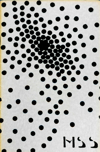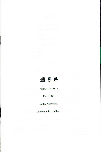

Volume 38, No.1

May, 1970

**Butler** University

Indianapolis, **Indiana**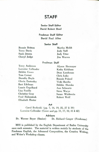# **STAFF**

Senior Staff Editor David Robert Head

Freshman Staff Editor David Paul Allen

### Senior Staff

Bonnie Britton Terry Davis Susie Jensen Cheryl Judge

Martha Moldt Jody Neff Judy Utter **Jim Warren** 

#### Freshman Staff

Terry Anderson Lorraine Callender Debbie Coons Tom Cornet Dorothy Doyle Gloria Easterday Bart Edelman Laurie Engelhard Lisa Fusille Christine Gray Fred Haberstroh Elisabeth Harter

Alyson Hermayer Kathy Kirkham Dean Landsman Chris Luka Bonnie Poland Vicki Rardin Debbie Shutske *Ann* Schwartz Steve Warye Susan Wirthwein Robert Wolf

#### **Art**

Carol Bockoski (pp. 7, 16, 19, 25, 27 & 39) Lorraine Callender (Cover and pp. II, 17, 32,41 & 42)

#### Advisors

Dr. Werner Beyer (Senior) Dr. Richard Cauger (Freshman)

MSS is published by the English Department of Butler University once each semester. The material is written mainly by students of the Freshman English, the Advanced Composition, the Creative Writing, and Writer's Workshop classes.